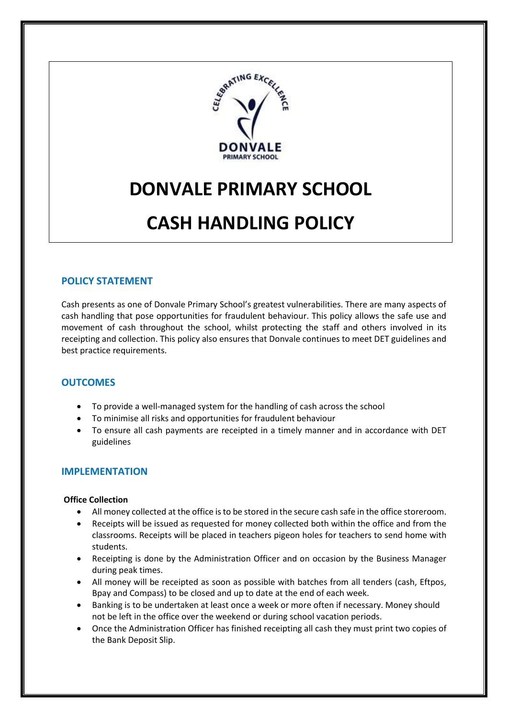

# **DONVALE PRIMARY SCHOOL**

# **CASH HANDLING POLICY**

# **POLICY STATEMENT**

Cash presents as one of Donvale Primary School's greatest vulnerabilities. There are many aspects of cash handling that pose opportunities for fraudulent behaviour. This policy allows the safe use and movement of cash throughout the school, whilst protecting the staff and others involved in its receipting and collection. This policy also ensures that Donvale continues to meet DET guidelines and best practice requirements.

## **OUTCOMES**

- To provide a well-managed system for the handling of cash across the school
- To minimise all risks and opportunities for fraudulent behaviour
- To ensure all cash payments are receipted in a timely manner and in accordance with DET guidelines

## **IMPLEMENTATION**

#### **Office Collection**

- All money collected at the office is to be stored in the secure cash safe in the office storeroom.
- Receipts will be issued as requested for money collected both within the office and from the classrooms. Receipts will be placed in teachers pigeon holes for teachers to send home with students.
- Receipting is done by the Administration Officer and on occasion by the Business Manager during peak times.
- All money will be receipted as soon as possible with batches from all tenders (cash, Eftpos, Bpay and Compass) to be closed and up to date at the end of each week.
- Banking is to be undertaken at least once a week or more often if necessary. Money should not be left in the office over the weekend or during school vacation periods.
- Once the Administration Officer has finished receipting all cash they must print two copies of the Bank Deposit Slip.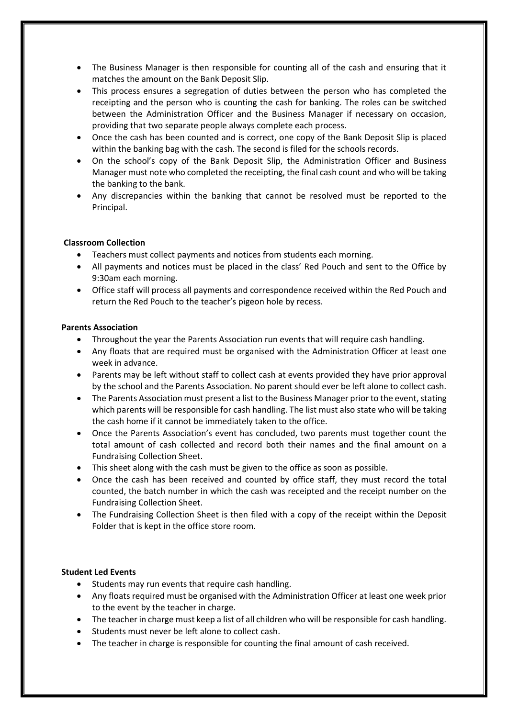- The Business Manager is then responsible for counting all of the cash and ensuring that it matches the amount on the Bank Deposit Slip.
- This process ensures a segregation of duties between the person who has completed the receipting and the person who is counting the cash for banking. The roles can be switched between the Administration Officer and the Business Manager if necessary on occasion, providing that two separate people always complete each process.
- Once the cash has been counted and is correct, one copy of the Bank Deposit Slip is placed within the banking bag with the cash. The second is filed for the schools records.
- On the school's copy of the Bank Deposit Slip, the Administration Officer and Business Manager must note who completed the receipting, the final cash count and who will be taking the banking to the bank.
- Any discrepancies within the banking that cannot be resolved must be reported to the Principal.

#### **Classroom Collection**

- Teachers must collect payments and notices from students each morning.
- All payments and notices must be placed in the class' Red Pouch and sent to the Office by 9:30am each morning.
- Office staff will process all payments and correspondence received within the Red Pouch and return the Red Pouch to the teacher's pigeon hole by recess.

#### **Parents Association**

- Throughout the year the Parents Association run events that will require cash handling.
- Any floats that are required must be organised with the Administration Officer at least one week in advance.
- Parents may be left without staff to collect cash at events provided they have prior approval by the school and the Parents Association. No parent should ever be left alone to collect cash.
- The Parents Association must present a list to the Business Manager prior to the event, stating which parents will be responsible for cash handling. The list must also state who will be taking the cash home if it cannot be immediately taken to the office.
- Once the Parents Association's event has concluded, two parents must together count the total amount of cash collected and record both their names and the final amount on a Fundraising Collection Sheet.
- This sheet along with the cash must be given to the office as soon as possible.
- Once the cash has been received and counted by office staff, they must record the total counted, the batch number in which the cash was receipted and the receipt number on the Fundraising Collection Sheet.
- The Fundraising Collection Sheet is then filed with a copy of the receipt within the Deposit Folder that is kept in the office store room.

## **Student Led Events**

- Students may run events that require cash handling.
- Any floats required must be organised with the Administration Officer at least one week prior to the event by the teacher in charge.
- The teacher in charge must keep a list of all children who will be responsible for cash handling.
- Students must never be left alone to collect cash.
- The teacher in charge is responsible for counting the final amount of cash received.